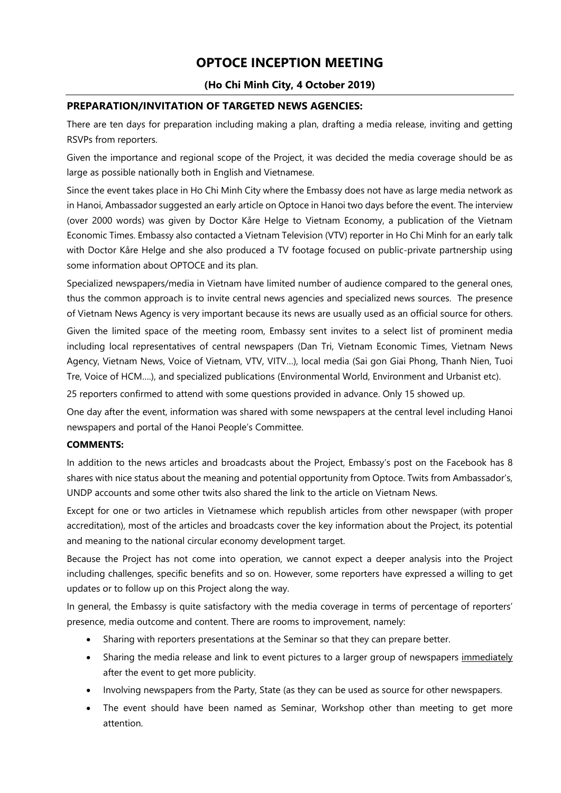# **OPTOCE INCEPTION MEETING**

### **(Ho Chi Minh City, 4 October 2019)**

#### **PREPARATION/INVITATION OF TARGETED NEWS AGENCIES:**

There are ten days for preparation including making a plan, drafting a media release, inviting and getting RSVPs from reporters.

Given the importance and regional scope of the Project, it was decided the media coverage should be as large as possible nationally both in English and Vietnamese.

Since the event takes place in Ho Chi Minh City where the Embassy does not have as large media network as in Hanoi, Ambassador suggested an early article on Optoce in Hanoi two days before the event. The interview (over 2000 words) was given by Doctor Kåre Helge to Vietnam Economy, a publication of the Vietnam Economic Times. Embassy also contacted a Vietnam Television (VTV) reporter in Ho Chi Minh for an early talk with Doctor Kåre Helge and she also produced a TV footage focused on public-private partnership using some information about OPTOCE and its plan.

Specialized newspapers/media in Vietnam have limited number of audience compared to the general ones, thus the common approach is to invite central news agencies and specialized news sources. The presence of Vietnam News Agency is very important because its news are usually used as an official source for others.

Given the limited space of the meeting room, Embassy sent invites to a select list of prominent media including local representatives of central newspapers (Dan Tri, Vietnam Economic Times, Vietnam News Agency, Vietnam News, Voice of Vietnam, VTV, VITV…), local media (Sai gon Giai Phong, Thanh Nien, Tuoi Tre, Voice of HCM….), and specialized publications (Environmental World, Environment and Urbanist etc).

25 reporters confirmed to attend with some questions provided in advance. Only 15 showed up.

One day after the event, information was shared with some newspapers at the central level including Hanoi newspapers and portal of the Hanoi People's Committee.

#### **COMMENTS:**

In addition to the news articles and broadcasts about the Project, Embassy's post on the Facebook has 8 shares with nice status about the meaning and potential opportunity from Optoce. Twits from Ambassador's, UNDP accounts and some other twits also shared the link to the article on Vietnam News.

Except for one or two articles in Vietnamese which republish articles from other newspaper (with proper accreditation), most of the articles and broadcasts cover the key information about the Project, its potential and meaning to the national circular economy development target.

Because the Project has not come into operation, we cannot expect a deeper analysis into the Project including challenges, specific benefits and so on. However, some reporters have expressed a willing to get updates or to follow up on this Project along the way.

In general, the Embassy is quite satisfactory with the media coverage in terms of percentage of reporters' presence, media outcome and content. There are rooms to improvement, namely:

- Sharing with reporters presentations at the Seminar so that they can prepare better.
- Sharing the media release and link to event pictures to a larger group of newspapers immediately after the event to get more publicity.
- Involving newspapers from the Party, State (as they can be used as source for other newspapers.
- The event should have been named as Seminar, Workshop other than meeting to get more attention.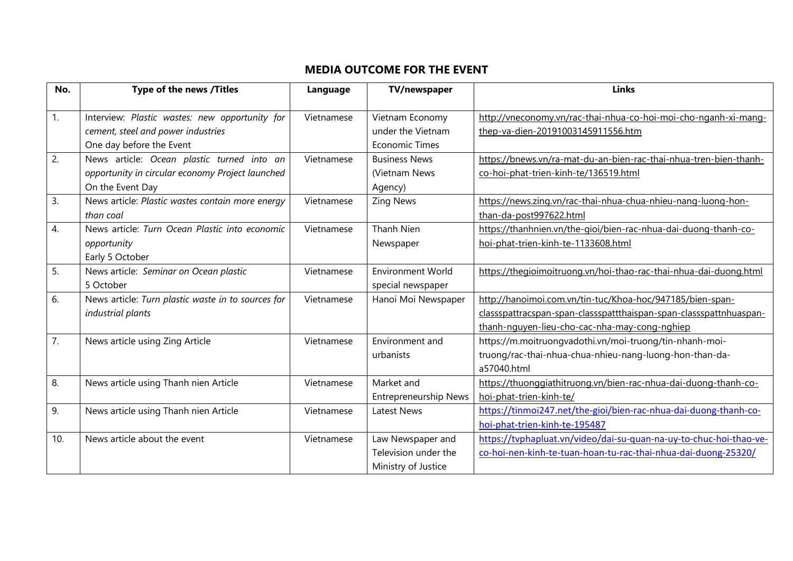## **MEDIA OUTCOME FOR THE EVENT**

| No.              | Type of the news /Titles                                                                                           | Language   | TV/newspaper                                                     | <b>Links</b>                                                                                                                                                                     |
|------------------|--------------------------------------------------------------------------------------------------------------------|------------|------------------------------------------------------------------|----------------------------------------------------------------------------------------------------------------------------------------------------------------------------------|
| $\overline{1}$ . | Interview: Plastic wastes: new opportunity for<br>cement, steel and power industries<br>One day before the Event   | Vietnamese | Vietnam Economy<br>under the Vietnam<br><b>Economic Times</b>    | http://vneconomy.vn/rac-thai-nhua-co-hoi-moi-cho-nganh-xi-mang-<br>thep-va-dien-20191003145911556.htm                                                                            |
| 2.               | News article: Ocean plastic turned into an<br>opportunity in circular economy Project launched<br>On the Event Day | Vietnamese | <b>Business News</b><br>(Vietnam News<br>Agency)                 | https://bnews.vn/ra-mat-du-an-bien-rac-thai-nhua-tren-bien-thanh-<br>co-hoi-phat-trien-kinh-te/136519.html                                                                       |
| 3.               | News article: Plastic wastes contain more energy<br>than coal                                                      | Vietnamese | <b>Zing News</b>                                                 | https://news.zing.vn/rac-thai-nhua-chua-nhieu-nang-luong-hon-<br>than-da-post997622.html                                                                                         |
| 4.               | News article: Turn Ocean Plastic into economic<br>opportunity<br>Early 5 October                                   | Vietnamese | Thanh Nien<br>Newspaper                                          | https://thanhnien.vn/the-gioi/bien-rac-nhua-dai-duong-thanh-co-<br>hoi-phat-trien-kinh-te-1133608.html                                                                           |
| 5.               | News article: Seminar on Ocean plastic<br>5 October                                                                | Vietnamese | <b>Environment World</b><br>special newspaper                    | https://thegioimoitruong.vn/hoi-thao-rac-thai-nhua-dai-duong.html                                                                                                                |
| 6.               | News article: Turn plastic waste in to sources for<br>industrial plants                                            | Vietnamese | Hanoi Moi Newspaper                                              | http://hanoimoi.com.vn/tin-tuc/Khoa-hoc/947185/bien-span-<br>classspattracspan-span-classspattthaispan-span-classspattnhuaspan-<br>thanh-nguyen-lieu-cho-cac-nha-may-cong-nghiep |
| $\overline{7}$ . | News article using Zing Article                                                                                    | Vietnamese | Environment and<br>urbanists                                     | https://m.moitruongvadothi.vn/moi-truong/tin-nhanh-moi-<br>truong/rac-thai-nhua-chua-nhieu-nang-luong-hon-than-da-<br>a57040.html                                                |
| 8.               | News article using Thanh nien Article                                                                              | Vietnamese | Market and<br><b>Entrepreneurship News</b>                       | https://thuonggiathitruong.vn/bien-rac-nhua-dai-duong-thanh-co-<br>hoi-phat-trien-kinh-te/                                                                                       |
| 9.               | News article using Thanh nien Article                                                                              | Vietnamese | <b>Latest News</b>                                               | https://tinmoi247.net/the-gioi/bien-rac-nhua-dai-duong-thanh-co-<br>hoi-phat-trien-kinh-te-195487                                                                                |
| 10.              | News article about the event                                                                                       | Vietnamese | Law Newspaper and<br>Television under the<br>Ministry of Justice | https://tvphapluat.vn/video/dai-su-quan-na-uy-to-chuc-hoi-thao-ve-<br>co-hoi-nen-kinh-te-tuan-hoan-tu-rac-thai-nhua-dai-duong-25320/                                             |